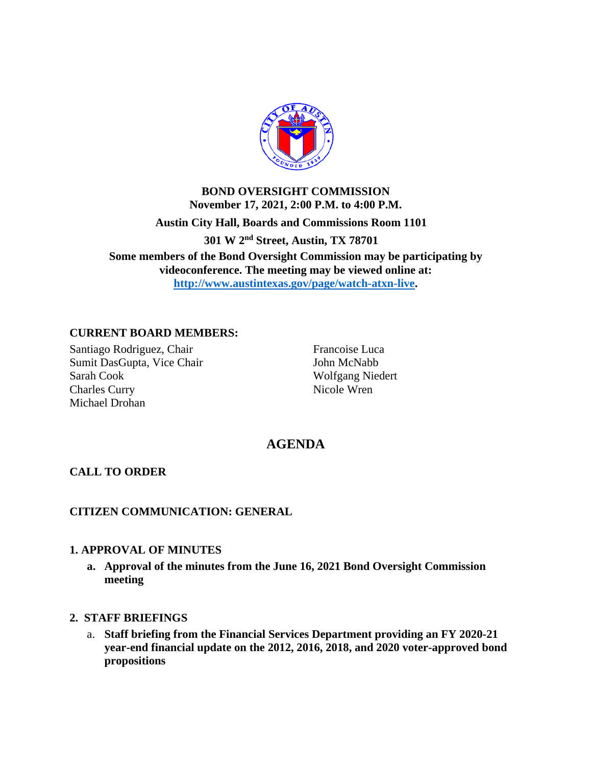

# **BOND OVERSIGHT COMMISSION November 17, 2021, 2:00 P.M. to 4:00 P.M. Austin City Hall, Boards and Commissions Room 1101 301 W 2nd Street, Austin, TX 78701 Some members of the Bond Oversight Commission may be participating by videoconference. The meeting may be viewed online at: [http://www.austintexas.gov/page/watch-atxn-live.](https://gcc02.safelinks.protection.outlook.com/?url=http%3A%2F%2Fwww.austintexas.gov%2Fpage%2Fwatch-atxn-live&data=04%7C01%7CWilliam.Mixon%40austintexas.gov%7C4efa15348967477810aa08d96819e800%7C5c5e19f6a6ab4b45b1d0be4608a9a67f%7C0%7C0%7C637655282740569460%7CUnknown%7CTWFpbGZsb3d8eyJWIjoiMC4wLjAwMDAiLCJQIjoiV2luMzIiLCJBTiI6Ik1haWwiLCJXVCI6Mn0%3D%7C1000&sdata=SnxLmnNZND8eLrF1rvGxNa8G%2FUlp4bK6hNquVYTCs24%3D&reserved=0)**

### **CURRENT BOARD MEMBERS:**

Santiago Rodriguez, Chair Sumit DasGupta, Vice Chair Sarah Cook Charles Curry Michael Drohan

Francoise Luca John McNabb Wolfgang Niedert Nicole Wren

## **AGENDA**

#### **CALL TO ORDER**

#### **CITIZEN COMMUNICATION: GENERAL**

#### **1. APPROVAL OF MINUTES**

**a. Approval of the minutes from the June 16, 2021 Bond Oversight Commission meeting**

#### **2. STAFF BRIEFINGS**

a. **Staff briefing from the Financial Services Department providing an FY 2020-21 year-end financial update on the 2012, 2016, 2018, and 2020 voter-approved bond propositions**